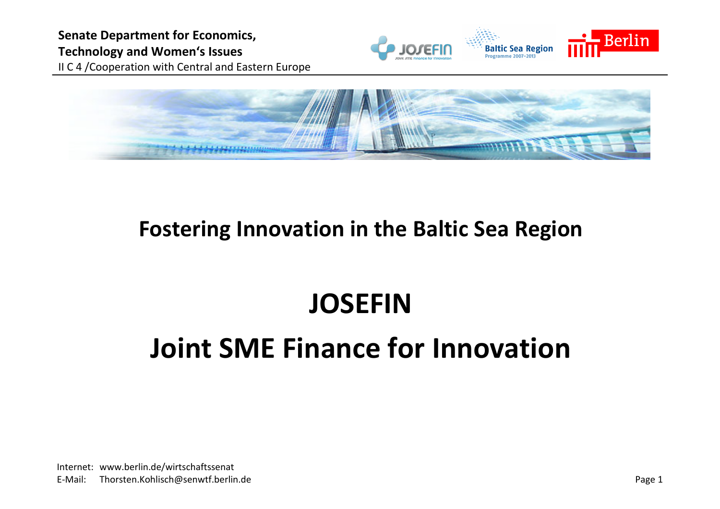Senate Department for Economics, Technology and Women's Issues II C 4 /Cooperation with Central and Eastern Europe





## Fostering Innovation in the Baltic Sea Region

# **JOSEFIN** Joint SME Finance for Innovation

Internet: www.berlin.de/wirtschaftssenat<br>E-Mail: Thorsten.Kohlisch@senwtf.berlin Thorsten.Kohlisch@senwtf.berlin.de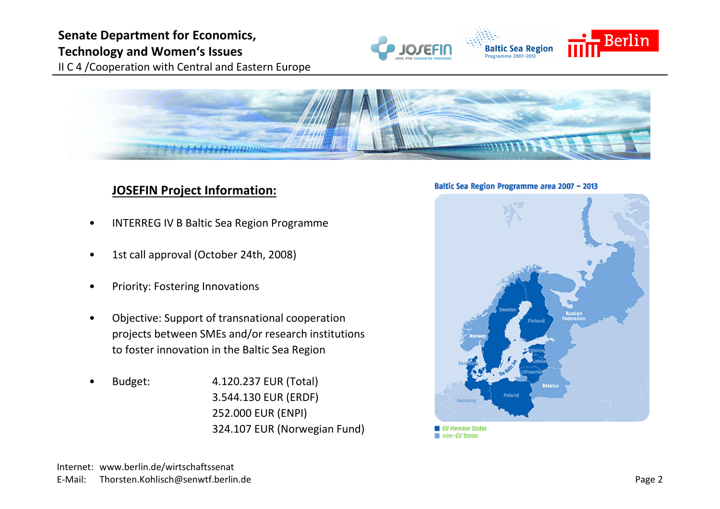### Senate Department for Economics, Technology and Women's Issues



II C 4 /Cooperation with Central and Eastern Europe



#### **JOSEFIN Project Information:**

- •INTERREG IV B Baltic Sea Region Programme
- •1st call approval (October 24th, 2008)
- •Priority: Fostering Innovations
- • Objective: Support of transnational cooperation projects between SMEs and/or research institutions to foster innovation in the Baltic Sea Region
- • Budget: 4.120.237 EUR (Total) 3.544.130 EUR (ERDF)252.000 EUR (ENPI)324.107 EUR (Norwegian Fund)



**■** non-EU States

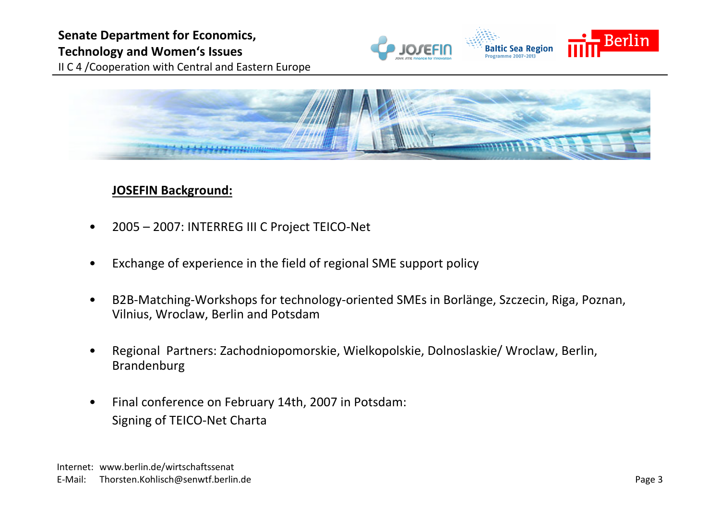



#### JOSEFIN Background:

- •2005 – 2007: INTERREG III C Project TEICO-Net
- •Exchange of experience in the field of regional SME support policy
- • B2B-Matching-Workshops for technology-oriented SMEs in Borlänge, Szczecin, Riga, Poznan, Vilnius, Wroclaw, Berlin and Potsdam
- • Regional Partners: Zachodniopomorskie, Wielkopolskie, Dolnoslaskie/ Wroclaw, Berlin, Brandenburg
- • Final conference on February 14th, 2007 in Potsdam: Signing of TEICO-Net Charta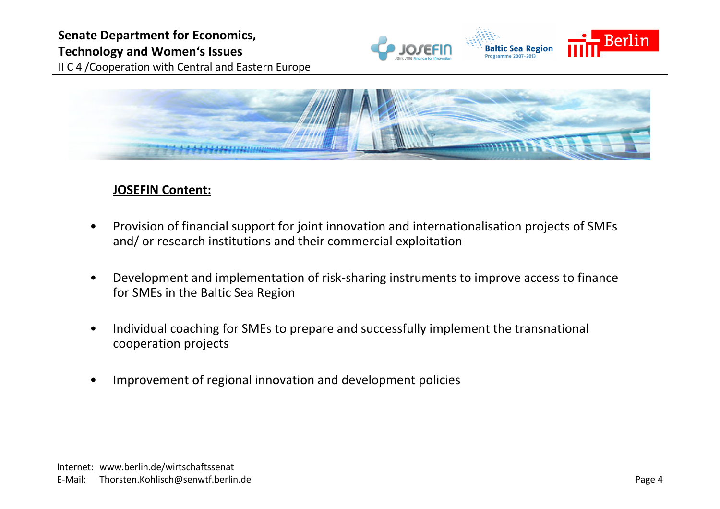

#### JOSEFIN Content:

- • Provision of financial support for joint innovation and internationalisation projects of SMEs and/ or research institutions and their commercial exploitation
- • Development and implementation of risk-sharing instruments to improve access to finance for SMEs in the Baltic Sea Region
- • Individual coaching for SMEs to prepare and successfully implement the transnational cooperation projects
- •Improvement of regional innovation and development policies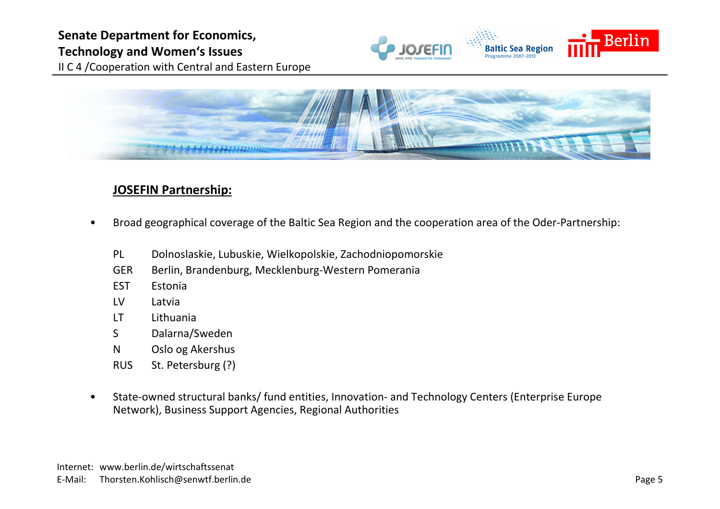

II C 4 /Cooperation with Central and Eastern Europe



#### JOSEFIN Partnership:

- • Broad geographical coverage of the Baltic Sea Region and the cooperation area of the Oder-Partnership:
	- PL Dolnoslaskie, Lubuskie, Wielkopolskie, Zachodniopomorskie
	- GER Berlin, Brandenburg, Mecklenburg-Western Pomerania<br>EST Estonia
	- **Estonia**
	- LV Latvia
	- LT Lithuania
	- Dalarna/Sweden
	- <sup>N</sup> Oslo og Akershus
	- RUS St. Petersburg (?)
- • State-owned structural banks/ fund entities, Innovation- and Technology Centers (Enterprise Europe Network), Business Support Agencies, Regional Authorities